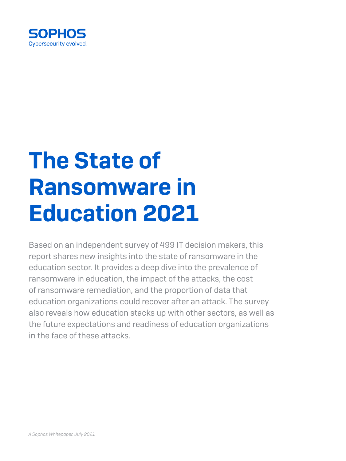

# The State of Ransomware in Education 2021

Based on an independent survey of 499 IT decision makers, this report shares new insights into the state of ransomware in the education sector. It provides a deep dive into the prevalence of ransomware in education, the impact of the attacks, the cost of ransomware remediation, and the proportion of data that education organizations could recover after an attack. The survey also reveals how education stacks up with other sectors, as well as the future expectations and readiness of education organizations in the face of these attacks.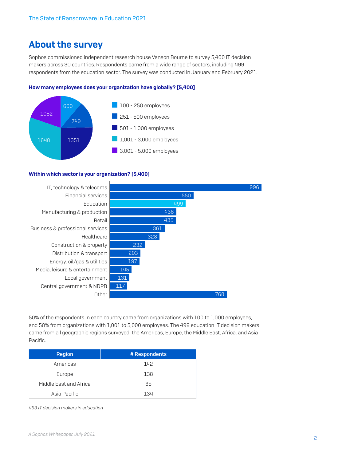# About the survey

Sophos commissioned independent research house Vanson Bourne to survey 5,400 IT decision makers across 30 countries. Respondents came from a wide range of sectors, including 499 respondents from the education sector. The survey was conducted in January and February 2021.

### How many employees does your organization have globally? [5,400]



### Within which sector is your organization? [5,400]



50% of the respondents in each country came from organizations with 100 to 1,000 employees, and 50% from organizations with 1,001 to 5,000 employees. The 499 education IT decision makers came from all geographic regions surveyed: the Americas, Europe, the Middle East, Africa, and Asia Pacific.

| <b>Region</b>          | # Respondents |
|------------------------|---------------|
| Americas               | 142           |
| Europe                 | 138           |
| Middle East and Africa | 85            |
| Asia Pacific           | 134           |

*499 IT decision makers in education*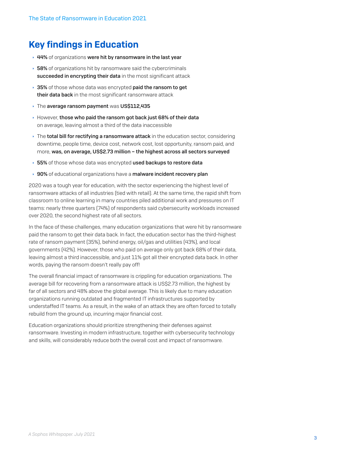# Key findings in Education

- $\rightarrow$  44% of organizations were hit by ransomware in the last year
- $\rightarrow$  58% of organizations hit by ransomware said the cybercriminals succeeded in encrypting their data in the most significant attack
- $\rightarrow$  35% of those whose data was encrypted paid the ransom to get their data back in the most significant ransomware attack
- $\rightarrow$  The average ransom payment was US\$112,435
- However, those who paid the ransom got back just 68% of their data on average, leaving almost a third of the data inaccessible
- $\rightarrow$  The total bill for rectifying a ransomware attack in the education sector, considering downtime, people time, device cost, network cost, lost opportunity, ransom paid, and more, was, on average, US\$2.73 million – the highest across all sectors surveyed
- ▶ 55% of those whose data was encrypted used backups to restore data
- ▸ 90% of educational organizations have a malware incident recovery plan

2020 was a tough year for education, with the sector experiencing the highest level of ransomware attacks of all industries (tied with retail). At the same time, the rapid shift from classroom to online learning in many countries piled additional work and pressures on IT teams: nearly three quarters (74%) of respondents said cybersecurity workloads increased over 2020, the second highest rate of all sectors.

In the face of these challenges, many education organizations that were hit by ransomware paid the ransom to get their data back. In fact, the education sector has the third-highest rate of ransom payment (35%), behind energy, oil/gas and utilities (43%), and local governments (42%). However, those who paid on average only got back 68% of their data, leaving almost a third inaccessible, and just 11% got all their encrypted data back. In other words, paying the ransom doesn't really pay off!

The overall financial impact of ransomware is crippling for education organizations. The average bill for recovering from a ransomware attack is US\$2.73 million, the highest by far of all sectors and 48% above the global average. This is likely due to many education organizations running outdated and fragmented IT infrastructures supported by understaffed IT teams. As a result, in the wake of an attack they are often forced to totally rebuild from the ground up, incurring major financial cost.

Education organizations should prioritize strengthening their defenses against ransomware. Investing in modern infrastructure, together with cybersecurity technology and skills, will considerably reduce both the overall cost and impact of ransomware.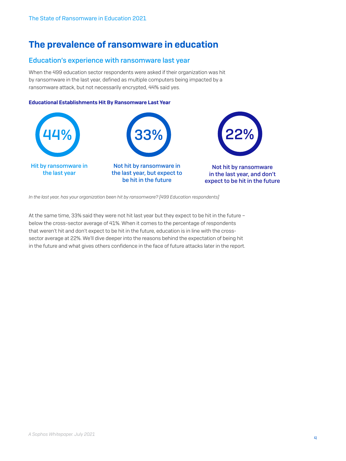# The prevalence of ransomware in education

### Education's experience with ransomware last year

When the 499 education sector respondents were asked if their organization was hit by ransomware in the last year, defined as multiple computers being impacted by a ransomware attack, but not necessarily encrypted, 44% said yes.

### Educational Establishments Hit By Ransomware Last Year



In the last year, has your organization been hit by ransomware? [499 Education respondents]

At the same time, 33% said they were not hit last year but they expect to be hit in the future – below the cross-sector average of 41%. When it comes to the percentage of respondents that weren't hit and don't expect to be hit in the future, education is in line with the crosssector average at 22%. We'll dive deeper into the reasons behind the expectation of being hit in the future and what gives others confidence in the face of future attacks later in the report.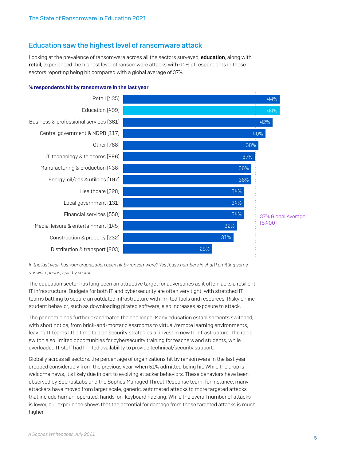### Education saw the highest level of ransomware attack

Looking at the prevalence of ransomware across all the sectors surveyed, **education**, along with retail, experienced the highest level of ransomware attacks with 44% of respondents in these sectors reporting being hit compared with a global average of 37%.



### % respondents hit by ransomware in the last year

*In the last year, has your organization been hit by ransomware? Yes [base numbers in chart] omitting some answer options, split by sector*

The education sector has long been an attractive target for adversaries as it often lacks a resilient IT infrastructure. Budgets for both IT and cybersecurity are often very tight, with stretched IT teams battling to secure an outdated infrastructure with limited tools and resources. Risky online student behavior, such as downloading pirated software, also increases exposure to attack.

The pandemic has further exacerbated the challenge. Many education establishments switched, with short notice, from brick-and-mortar classrooms to virtual/remote learning environments, leaving IT teams little time to plan security strategies or invest in new IT infrastructure. The rapid switch also limited opportunities for cybersecurity training for teachers and students, while overloaded IT staff had limited availability to provide technical/security support.

Globally across all sectors, the percentage of organizations hit by ransomware in the last year dropped considerably from the previous year, when 51% admitted being hit. While the drop is welcome news, it's likely due in part to evolving attacker behaviors. These behaviors have been observed by SophosLabs and the Sophos Managed Threat Response team; for instance, many attackers have moved from larger scale, generic, automated attacks to more targeted attacks that include human-operated, hands-on-keyboard hacking. While the overall number of attacks is lower, our experience shows that the potential for damage from these targeted attacks is much higher.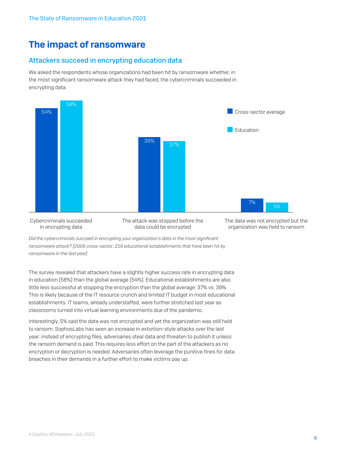# The impact of ransomware

### Attackers succeed in encrypting education data

We asked the respondents whose organizations had been hit by ransomware whether, in the most significant ransomware attack they had faced, the cybercriminals succeeded in encrypting data.



Cybercriminals succeeded in encrypting data

The attack was stopped before the data could be encrypted

The data was not encrypted but the organization was held to ransom

*Did the cybercriminals succeed in encrypting your organization's data in the most significant ransomware attack? [2006 cross-sector; 219 educational establishments that have been hit by ransomware in the last year]*

The survey revealed that attackers have a slightly higher success rate in encrypting data in education (58%) than the global average (54%). Educational establishments are also little less successful at stopping the encryption than the global average: 37% vs. 39%. This is likely because of the IT resource crunch and limited IT budget in most educational establishments. IT teams, already understaffed, were further stretched last year as classrooms turned into virtual learning environments due of the pandemic.

Interestingly, 5% said the data was not encrypted and yet the organization was still held to ransom. SophosLabs has seen an increase in extortion-style attacks over the last year: instead of encrypting files, adversaries steal data and threaten to publish it unless the ransom demand is paid. This requires less effort on the part of the attackers as no encryption or decryption is needed. Adversaries often leverage the punitive fines for data breaches in their demands in a further effort to make victims pay up.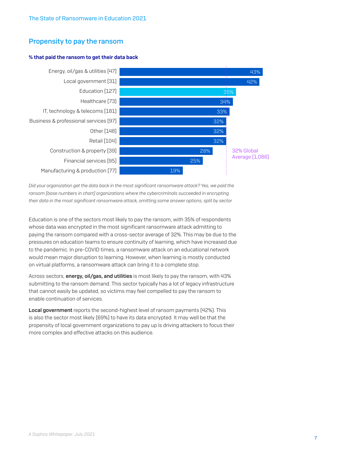### Propensity to pay the ransom

### % that paid the ransom to get their data back



*Did your organization get the data back in the most significant ransomware attack? Yes, we paid the ransom [base numbers in chart] organizations where the cybercriminals succeeded in encrypting their data in the most significant ransomware attack, omitting some answer options, split by sector*

Education is one of the sectors most likely to pay the ransom, with 35% of respondents whose data was encrypted in the most significant ransomware attack admitting to paying the ransom compared with a cross-sector average of 32%. This may be due to the pressures on education teams to ensure continuity of learning, which have increased due to the pandemic. In pre-COVID times, a ransomware attack on an educational network would mean major disruption to learning. However, when learning is mostly conducted on virtual platforms, a ransomware attack can bring it to a complete stop.

Across sectors, energy, oil/gas, and utilities is most likely to pay the ransom, with 43% submitting to the ransom demand. This sector typically has a lot of legacy infrastructure that cannot easily be updated, so victims may feel compelled to pay the ransom to enable continuation of services.

Local government reports the second-highest level of ransom payments (42%). This is also the sector most likely (69%) to have its data encrypted. It may well be that the propensity of local government organizations to pay up is driving attackers to focus their more complex and effective attacks on this audience.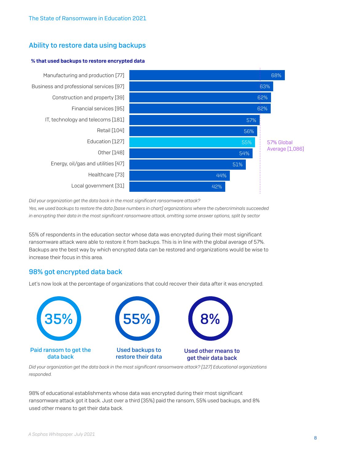### Ability to restore data using backups

### % that used backups to restore encrypted data



*Did your organization get the data back in the most significant ransomware attack?* 

*Yes, we used backups to restore the data [base numbers in chart] organizations where the cybercriminals succeeded in encrypting their data in the most significant ransomware attack, omitting some answer options, split by sector*

55% of respondents in the education sector whose data was encrypted during their most significant ransomware attack were able to restore it from backups. This is in line with the global average of 57%. Backups are the best way by which encrypted data can be restored and organizations would be wise to increase their focus in this area.

### 98% got encrypted data back

Let's now look at the percentage of organizations that could recover their data after it was encrypted.



*Did your organization get the data back in the most significant ransomware attack? [127] Educational organizations responded.* 

98% of educational establishments whose data was encrypted during their most significant ransomware attack got it back. Just over a third (35%) paid the ransom, 55% used backups, and 8% used other means to get their data back.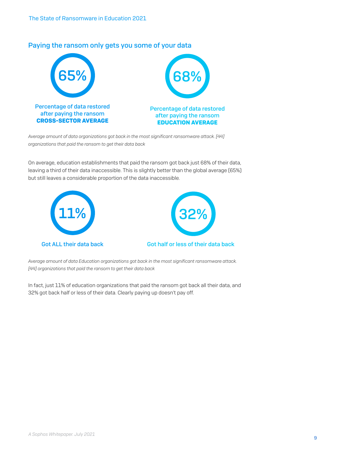

### Paying the ransom only gets you some of your data

*Average amount of data organizations got back in the most significant ransomware attack. [44] organizations that paid the ransom to get their data back*

On average, education establishments that paid the ransom got back just 68% of their data, leaving a third of their data inaccessible. This is slightly better than the global average (65%) but still leaves a considerable proportion of the data inaccessible.





### Got ALL their data back Got half or less of their data back

*Average amount of data Education organizations got back in the most significant ransomware attack. [44] organizations that paid the ransom to get their data back*

In fact, just 11% of education organizations that paid the ransom got back all their data, and 32% got back half or less of their data. Clearly paying up doesn't pay off.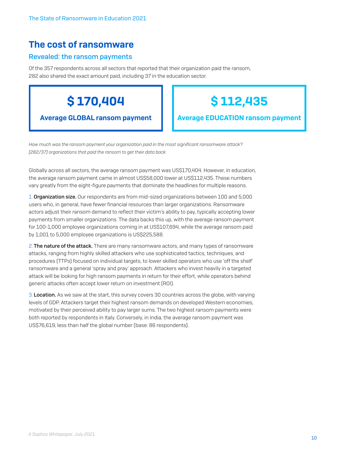# The cost of ransomware

### Revealed: the ransom payments

Of the 357 respondents across all sectors that reported that their organization paid the ransom, 282 also shared the exact amount paid, including 37 in the education sector.

\$ 170,404

Average GLOBAL ransom payment

# \$ 112,435

Average EDUCATION ransom payment

*How much was the ransom payment your organization paid in the most significant ransomware attack? [282/37] organizations that paid the ransom to get their data back*

Globally across all sectors, the average ransom payment was US\$170,404. However, in education, the average ransom payment came in almost US\$58,000 lower at US\$112,435. These numbers vary greatly from the eight-figure payments that dominate the headlines for multiple reasons.

1. **Organization size.** Our respondents are from mid-sized organizations between 100 and 5,000 users who, in general, have fewer financial resources than larger organizations. Ransomware actors adjust their ransom demand to reflect their victim's ability to pay, typically accepting lower payments from smaller organizations. The data backs this up, with the average ransom payment for 100-1,000 employee organizations coming in at US\$107,694, while the average ransom paid by 1,001 to 5,000 employee organizations is US\$225,588.

2. The nature of the attack. There are many ransomware actors, and many types of ransomware attacks, ranging from highly skilled attackers who use sophisticated tactics, techniques, and procedures (TTPs) focused on individual targets, to lower skilled operators who use 'off the shelf' ransomware and a general 'spray and pray' approach. Attackers who invest heavily in a targeted attack will be looking for high ransom payments in return for their effort, while operators behind generic attacks often accept lower return on investment (ROI).

3. Location. As we saw at the start, this survey covers 30 countries across the globe, with varying levels of GDP. Attackers target their highest ransom demands on developed Western economies, motivated by their perceived ability to pay larger sums. The two highest ransom payments were both reported by respondents in Italy. Conversely, in India, the average ransom payment was US\$76,619, less than half the global number (base: 86 respondents).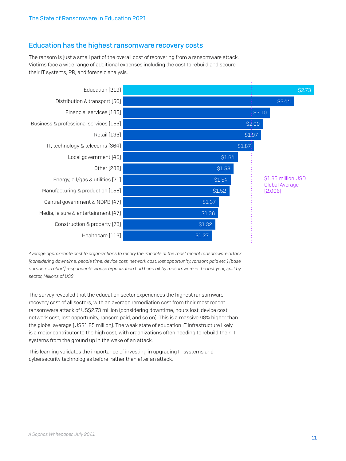### Education has the highest ransomware recovery costs

The ransom is just a small part of the overall cost of recovering from a ransomware attack. Victims face a wide range of additional expenses including the cost to rebuild and secure their IT systems, PR, and forensic analysis.



*Average approximate cost to organizations to rectify the impacts of the most recent ransomware attack (considering downtime, people time, device cost, network cost, lost opportunity, ransom paid etc.) [base numbers in chart] respondents whose organization had been hit by ransomware in the last year, split by sector, Millions of US\$*

The survey revealed that the education sector experiences the highest ransomware recovery cost of all sectors, with an average remediation cost from their most recent ransomware attack of US\$2.73 million (considering downtime, hours lost, device cost, network cost, lost opportunity, ransom paid, and so on). This is a massive 48% higher than the global average (US\$1.85 million). The weak state of education IT infrastructure likely is a major contributor to the high cost, with organizations often needing to rebuild their IT systems from the ground up in the wake of an attack.

This learning validates the importance of investing in upgrading IT systems and cybersecurity technologies before rather than after an attack.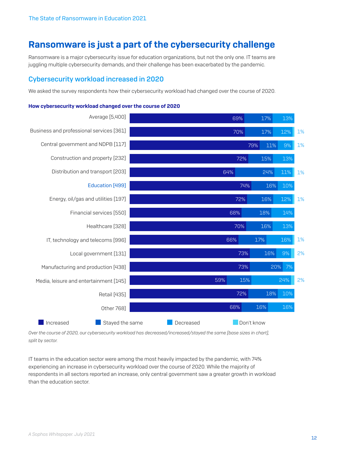# Ransomware is just a part of the cybersecurity challenge

Ransomware is a major cybersecurity issue for education organizations, but not the only one. IT teams are juggling multiple cybersecurity demands, and their challenge has been exacerbated by the pandemic.

### Cybersecurity workload increased in 2020

We asked the survey respondents how their cybersecurity workload had changed over the course of 2020.

#### **Increased Contract State Standard Standard Contract Standard Decreased Contract Don't know** Average [5,400] Business and professional services [361] Central government and NDPB [117] Construction and property [232] Distribution and transport [203] Education [499] Energy, oil/gas and utilities [197] Financial services [550] Healthcare [328] IT, technology and telecoms [996] Local government [131] Manufacturing and production [438] Media, leisure and entertainment [145] Retail [435] Other 768] 1% 1% 1% 1% 1% 2% 2% 12% 9% 13% 11% 10% 12% 14% 13% 16% 9% 7% 20% 24% 10% 16% 17% 11% 15% 24% 16% 16% 18% 16% 17% 16% 15% 18% 16% 69% 17% 13% 70% 79% 72% 64% 74% 72% 68% 70% 66% 73% 73% 59% 72% 68%

### How cybersecurity workload changed over the course of 2020

*Over the course of 2020, our cybersecurity workload has decreased/increased/stayed the same [base sizes in chart], split by sector.* 

IT teams in the education sector were among the most heavily impacted by the pandemic, with 74% experiencing an increase in cybersecurity workload over the course of 2020. While the majority of respondents in all sectors reported an increase, only central government saw a greater growth in workload than the education sector.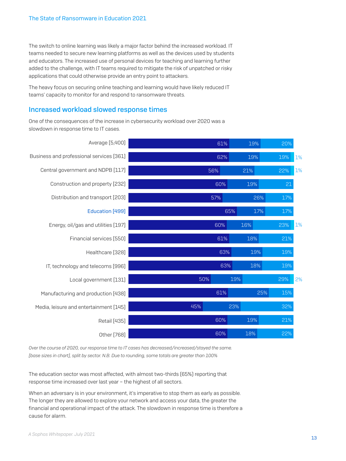The switch to online learning was likely a major factor behind the increased workload. IT teams needed to secure new learning platforms as well as the devices used by students and educators. The increased use of personal devices for teaching and learning further added to the challenge, with IT teams required to mitigate the risk of unpatched or risky applications that could otherwise provide an entry point to attackers.

The heavy focus on securing online teaching and learning would have likely reduced IT teams' capacity to monitor for and respond to ransomware threats.

### Increased workload slowed response times

One of the consequences of the increase in cybersecurity workload over 2020 was a slowdown in response time to IT cases.

| Average [5,400]                          |     | 61% | 19% | 20% |    |
|------------------------------------------|-----|-----|-----|-----|----|
| Business and professional services [361] |     | 62% | 19% | 19% | 1% |
| Central government and NDPB [117]        |     | 56% | 21% | 22% | 1% |
| Construction and property [232]          |     | 60% | 19% | 21  |    |
| Distribution and transport [203]         |     | 57% | 26% | 17% |    |
| Education [499]                          |     | 65% | 17% | 17% |    |
| Energy, oil/gas and utilities [197]      |     | 60% | 16% | 23% | 1% |
| Financial services [550]                 |     | 61% | 18% | 21% |    |
| Healthcare [328]                         |     | 63% | 19% | 19% |    |
| IT, technology and telecoms [996]        |     | 63% | 18% | 19% |    |
| Local government [131]                   | 50% | 19% |     | 29% | 2% |
| Manufacturing and production [438]       |     | 61% | 25% | 15% |    |
| Media, leisure and entertainment [145]   | 45% | 23% |     | 32% |    |
| <b>Retail [435]</b>                      |     | 60% | 19% | 21% |    |
| Other [768]                              |     | 60% | 18% | 22% |    |

*Over the course of 2020, our response time to IT cases has decreased/increased/stayed the same. [base sizes in chart], split by sector. N.B. Due to rounding, some totals are greater than 100%*

The education sector was most affected, with almost two-thirds (65%) reporting that response time increased over last year – the highest of all sectors.

When an adversary is in your environment, it's imperative to stop them as early as possible. The longer they are allowed to explore your network and access your data, the greater the financial and operational impact of the attack. The slowdown in response time is therefore a cause for alarm.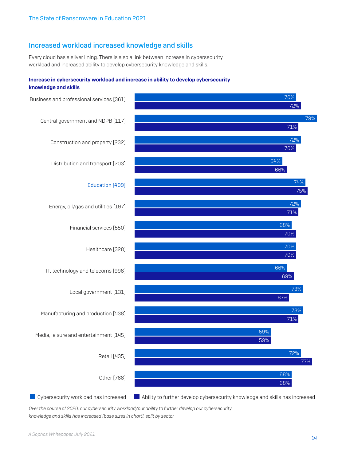### Increased workload increased knowledge and skills

Every cloud has a silver lining. There is also a link between increase in cybersecurity workload and increased ability to develop cybersecurity knowledge and skills.

### Increase in cybersecurity workload and increase in ability to develop cybersecurity knowledge and skills



Cybersecurity workload has increased Ability to further develop cybersecurity knowledge and skills has increased

*Over the course of 2020, our cybersecurity workload/our ability to further develop our cybersecurity knowledge and skills has increased [base sizes in chart], split by sector*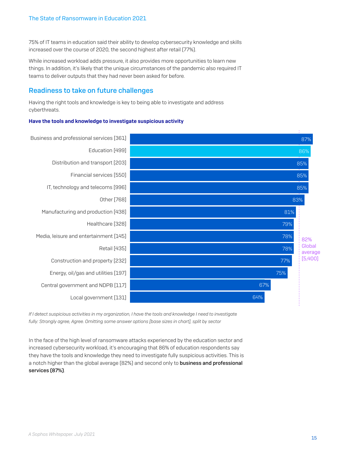75% of IT teams in education said their ability to develop cybersecurity knowledge and skills increased over the course of 2020, the second highest after retail (77%).

While increased workload adds pressure, it also provides more opportunities to learn new things. In addition, it's likely that the unique circumstances of the pandemic also required IT teams to deliver outputs that they had never been asked for before.

### Readiness to take on future challenges

Having the right tools and knowledge is key to being able to investigate and address cyberthreats.

### Have the tools and knowledge to investigate suspicious activity



*If I detect suspicious activities in my organization, I have the tools and knowledge I need to investigate fully: Strongly agree, Agree. Omitting some answer options [base sizes in chart], split by sector*

In the face of the high level of ransomware attacks experienced by the education sector and increased cybersecurity workload, it's encouraging that 86% of education respondents say they have the tools and knowledge they need to investigate fully suspicious activities. This is a notch higher than the global average (82%) and second only to business and professional services (87%).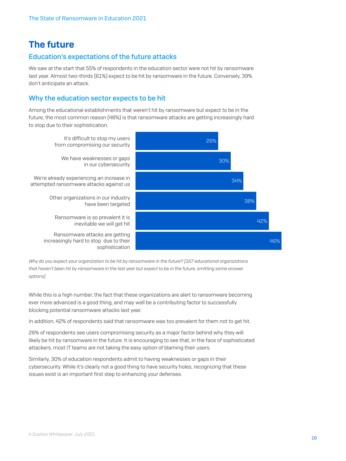# The future

### Education's expectations of the future attacks

We saw at the start that 55% of respondents in the education sector were not hit by ransomware last year. Almost two-thirds (61%) expect to be hit by ransomware in the future. Conversely, 39% don't anticipate an attack.

### Why the education sector expects to be hit

Among the educational establishments that weren't hit by ransomware but expect to be in the future, the most common reason (46%) is that ransomware attacks are getting increasingly hard to stop due to their sophistication.



*Why do you expect your organization to be hit by ransomware in the future? [167 educational organizations that haven't been hit by ransomware in the last year but expect to be in the future, omitting some answer options]*

While this is a high number, the fact that these organizations are alert to ransomware becoming ever more advanced is a good thing, and may well be a contributing factor to successfully blocking potential ransomware attacks last year.

In addition, 42% of respondents said that ransomware was too prevalent for them not to get hit.

26% of respondents see users compromising security as a major factor behind why they will likely be hit by ransomware in the future. It is encouraging to see that, in the face of sophisticated attackers, most IT teams are not taking the easy option of blaming their users.

Similarly, 30% of education respondents admit to having weaknesses or gaps in their cybersecurity. While it's clearly not a good thing to have security holes, recognizing that these issues exist is an important first step to enhancing your defenses.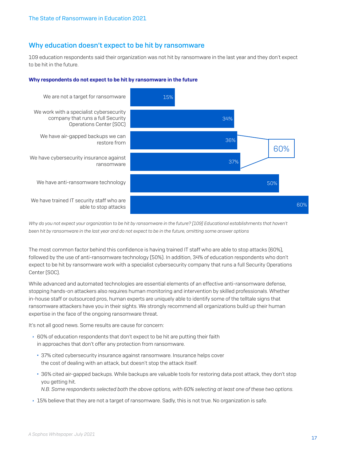### Why education doesn't expect to be hit by ransomware

109 education respondents said their organization was not hit by ransomware in the last year and they don't expect to be hit in the future.





*Why do you not expect your organization to be hit by ransomware in the future? [109] Educational establishments that haven't been hit by ransomware in the last year and do not expect to be in the future, omitting some answer options*

The most common factor behind this confidence is having trained IT staff who are able to stop attacks (60%), followed by the use of anti-ransomware technology (50%). In addition, 34% of education respondents who don't expect to be hit by ransomware work with a specialist cybersecurity company that runs a full Security Operations Center (SOC).

While advanced and automated technologies are essential elements of an effective anti-ransomware defense, stopping hands-on attackers also requires human monitoring and intervention by skilled professionals. Whether in-house staff or outsourced pros, human experts are uniquely able to identify some of the telltale signs that ransomware attackers have you in their sights. We strongly recommend all organizations build up their human expertise in the face of the ongoing ransomware threat.

It's not all good news. Some results are cause for concern:

- $\rightarrow$  60% of education respondents that don't expect to be hit are putting their faith in approaches that don't offer any protection from ransomware.
	- 37% cited cybersecurity insurance against ransomware. Insurance helps cover the cost of dealing with an attack, but doesn't stop the attack itself.
	- 36% cited air-gapped backups. While backups are valuable tools for restoring data post attack, they don't stop you getting hit.

*N.B. Some respondents selected both the above options, with 60% selecting at least one of these two options.* 

▶ 15% believe that they are not a target of ransomware. Sadly, this is not true. No organization is safe.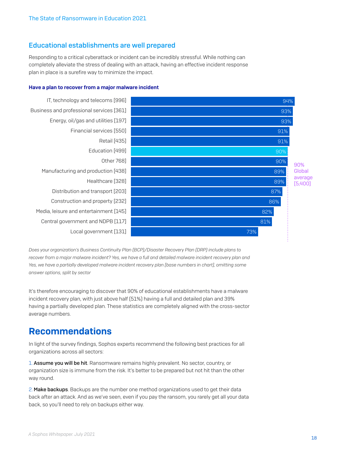### Educational establishments are well prepared

Responding to a critical cyberattack or incident can be incredibly stressful. While nothing can completely alleviate the stress of dealing with an attack, having an effective incident response plan in place is a surefire way to minimize the impact.

### Have a plan to recover from a major malware incident



*Does your organization's Business Continuity Plan (BCP)/Disaster Recovery Plan (DRP) include plans to recover from a major malware incident? Yes, we have a full and detailed malware incident recovery plan and Yes, we have a partially developed malware incident recovery plan [base numbers in chart], omitting some answer options, split by sector*

It's therefore encouraging to discover that 90% of educational establishments have a malware incident recovery plan, with just above half (51%) having a full and detailed plan and 39% having a partially developed plan. These statistics are completely aligned with the cross-sector average numbers.

## Recommendations

In light of the survey findings, Sophos experts recommend the following best practices for all organizations across all sectors:

1. Assume you will be hit. Ransomware remains highly prevalent. No sector, country, or organization size is immune from the risk. It's better to be prepared but not hit than the other way round.

2. Make backups. Backups are the number one method organizations used to get their data back after an attack. And as we've seen, even if you pay the ransom, you rarely get all your data back, so you'll need to rely on backups either way.